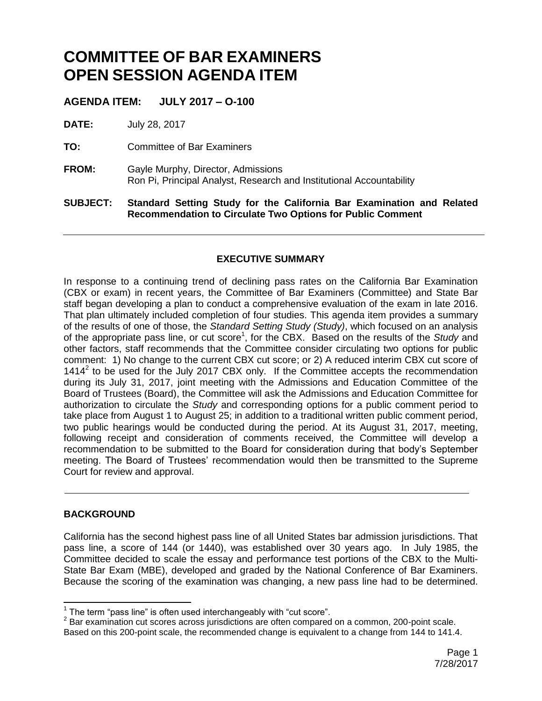# **COMMITTEE OF BAR EXAMINERS OPEN SESSION AGENDA ITEM**

**AGENDA ITEM: JULY 2017 – O-100**

**DATE:** July 28, 2017

**TO:** Committee of Bar Examiners

**FROM:** Gayle Murphy, Director, Admissions Ron Pi, Principal Analyst, Research and Institutional Accountability

**SUBJECT: Standard Setting Study for the California Bar Examination and Related Recommendation to Circulate Two Options for Public Comment**

# **EXECUTIVE SUMMARY**

In response to a continuing trend of declining pass rates on the California Bar Examination (CBX or exam) in recent years, the Committee of Bar Examiners (Committee) and State Bar staff began developing a plan to conduct a comprehensive evaluation of the exam in late 2016. That plan ultimately included completion of four studies. This agenda item provides a summary of the results of one of those, the *Standard Setting Study (Study)*, which focused on an analysis of the appropriate pass line, or cut score<sup>1</sup>, for the CBX. Based on the results of the *Study* and other factors, staff recommends that the Committee consider circulating two options for public comment: 1) No change to the current CBX cut score; or 2) A reduced interim CBX cut score of 1414 $2$  to be used for the July 2017 CBX only. If the Committee accepts the recommendation during its July 31, 2017, joint meeting with the Admissions and Education Committee of the Board of Trustees (Board), the Committee will ask the Admissions and Education Committee for authorization to circulate the *Study* and corresponding options for a public comment period to take place from August 1 to August 25; in addition to a traditional written public comment period, two public hearings would be conducted during the period. At its August 31, 2017, meeting, following receipt and consideration of comments received, the Committee will develop a recommendation to be submitted to the Board for consideration during that body's September meeting. The Board of Trustees' recommendation would then be transmitted to the Supreme Court for review and approval.

## **BACKGROUND**

California has the second highest pass line of all United States bar admission jurisdictions. That pass line, a score of 144 (or 1440), was established over 30 years ago. In July 1985, the Committee decided to scale the essay and performance test portions of the CBX to the Multi-State Bar Exam (MBE), developed and graded by the National Conference of Bar Examiners. Because the scoring of the examination was changing, a new pass line had to be determined.

 1 The term "pass line" is often used interchangeably with "cut score".

 $2$  Bar examination cut scores across jurisdictions are often compared on a common, 200-point scale. Based on this 200-point scale, the recommended change is equivalent to a change from 144 to 141.4.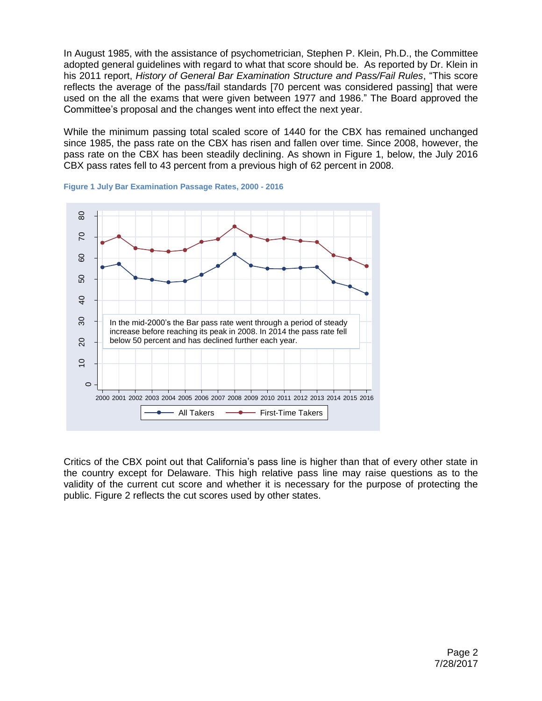In August 1985, with the assistance of psychometrician, Stephen P. Klein, Ph.D., the Committee adopted general guidelines with regard to what that score should be. As reported by Dr. Klein in his 2011 report, *History of General Bar Examination Structure and Pass/Fail Rules*, "This score reflects the average of the pass/fail standards [70 percent was considered passing] that were used on the all the exams that were given between 1977 and 1986." The Board approved the Committee's proposal and the changes went into effect the next year.

While the minimum passing total scaled score of 1440 for the CBX has remained unchanged since 1985, the pass rate on the CBX has risen and fallen over time. Since 2008, however, the pass rate on the CBX has been steadily declining. As shown in Figure 1, below, the July 2016 CBX pass rates fell to 43 percent from a previous high of 62 percent in 2008.





Critics of the CBX point out that California's pass line is higher than that of every other state in the country except for Delaware. This high relative pass line may raise questions as to the validity of the current cut score and whether it is necessary for the purpose of protecting the public. Figure 2 reflects the cut scores used by other states.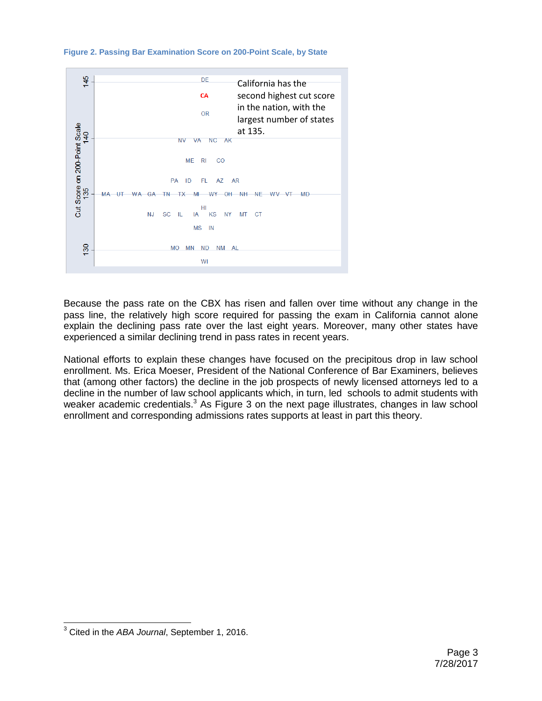**Figure 2. Passing Bar Examination Score on 200-Point Scale, by State**



Because the pass rate on the CBX has risen and fallen over time without any change in the pass line, the relatively high score required for passing the exam in California cannot alone explain the declining pass rate over the last eight years. Moreover, many other states have experienced a similar declining trend in pass rates in recent years.

National efforts to explain these changes have focused on the precipitous drop in law school enrollment. Ms. Erica Moeser, President of the National Conference of Bar Examiners, believes that (among other factors) the decline in the job prospects of newly licensed attorneys led to a decline in the number of law school applicants which, in turn, led schools to admit students with weaker academic credentials. $3$  As Figure 3 on the next page illustrates, changes in law school enrollment and corresponding admissions rates supports at least in part this theory.

j <sup>3</sup> Cited in the *ABA Journal*, September 1, 2016.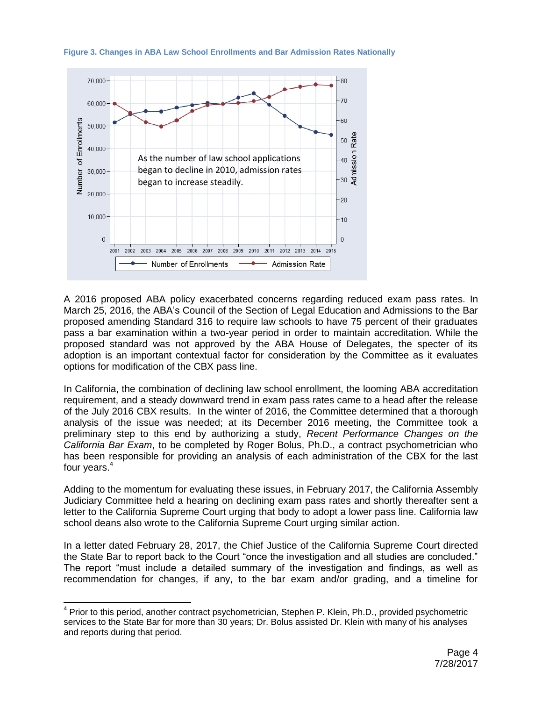

**Figure 3. Changes in ABA Law School Enrollments and Bar Admission Rates Nationally**

A 2016 proposed ABA policy exacerbated concerns regarding reduced exam pass rates. In March 25, 2016, the ABA's Council of the Section of Legal Education and Admissions to the Bar proposed amending Standard 316 to require law schools to have 75 percent of their graduates pass a bar examination within a two-year period in order to maintain accreditation. While the proposed standard was not approved by the ABA House of Delegates, the specter of its adoption is an important contextual factor for consideration by the Committee as it evaluates options for modification of the CBX pass line.

In California, the combination of declining law school enrollment, the looming ABA accreditation requirement, and a steady downward trend in exam pass rates came to a head after the release of the July 2016 CBX results. In the winter of 2016, the Committee determined that a thorough analysis of the issue was needed; at its December 2016 meeting, the Committee took a preliminary step to this end by authorizing a study, *Recent Performance Changes on the California Bar Exam*, to be completed by Roger Bolus, Ph.D., a contract psychometrician who has been responsible for providing an analysis of each administration of the CBX for the last four years.<sup>4</sup>

Adding to the momentum for evaluating these issues, in February 2017, the California Assembly Judiciary Committee held a hearing on declining exam pass rates and shortly thereafter sent a letter to the California Supreme Court urging that body to adopt a lower pass line. California law school deans also wrote to the California Supreme Court urging similar action.

In a letter dated February 28, 2017, the Chief Justice of the California Supreme Court directed the State Bar to report back to the Court "once the investigation and all studies are concluded." The report "must include a detailed summary of the investigation and findings, as well as recommendation for changes, if any, to the bar exam and/or grading, and a timeline for

 $\overline{a}$ 

<sup>&</sup>lt;sup>4</sup> Prior to this period, another contract psychometrician, Stephen P. Klein, Ph.D., provided psychometric services to the State Bar for more than 30 years; Dr. Bolus assisted Dr. Klein with many of his analyses and reports during that period.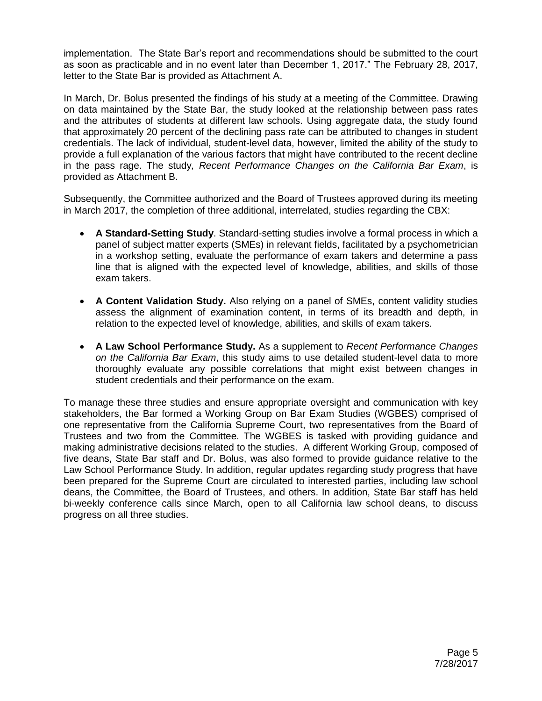implementation. The State Bar's report and recommendations should be submitted to the court as soon as practicable and in no event later than December 1, 2017." The February 28, 2017, letter to the State Bar is provided as Attachment A.

In March, Dr. Bolus presented the findings of his study at a meeting of the Committee. Drawing on data maintained by the State Bar, the study looked at the relationship between pass rates and the attributes of students at different law schools. Using aggregate data, the study found that approximately 20 percent of the declining pass rate can be attributed to changes in student credentials. The lack of individual, student-level data, however, limited the ability of the study to provide a full explanation of the various factors that might have contributed to the recent decline in the pass rage. The study*, Recent Performance Changes on the California Bar Exam*, is provided as Attachment B.

Subsequently, the Committee authorized and the Board of Trustees approved during its meeting in March 2017, the completion of three additional, interrelated, studies regarding the CBX:

- **A Standard-Setting Study**. Standard-setting studies involve a formal process in which a panel of subject matter experts (SMEs) in relevant fields, facilitated by a psychometrician in a workshop setting, evaluate the performance of exam takers and determine a pass line that is aligned with the expected level of knowledge, abilities, and skills of those exam takers.
- **A Content Validation Study.** Also relying on a panel of SMEs, content validity studies assess the alignment of examination content, in terms of its breadth and depth, in relation to the expected level of knowledge, abilities, and skills of exam takers.
- **A Law School Performance Study.** As a supplement to *Recent Performance Changes on the California Bar Exam*, this study aims to use detailed student-level data to more thoroughly evaluate any possible correlations that might exist between changes in student credentials and their performance on the exam.

To manage these three studies and ensure appropriate oversight and communication with key stakeholders, the Bar formed a Working Group on Bar Exam Studies (WGBES) comprised of one representative from the California Supreme Court, two representatives from the Board of Trustees and two from the Committee. The WGBES is tasked with providing guidance and making administrative decisions related to the studies. A different Working Group, composed of five deans, State Bar staff and Dr. Bolus, was also formed to provide guidance relative to the Law School Performance Study. In addition, regular updates regarding study progress that have been prepared for the Supreme Court are circulated to interested parties, including law school deans, the Committee, the Board of Trustees, and others. In addition, State Bar staff has held bi-weekly conference calls since March, open to all California law school deans, to discuss progress on all three studies.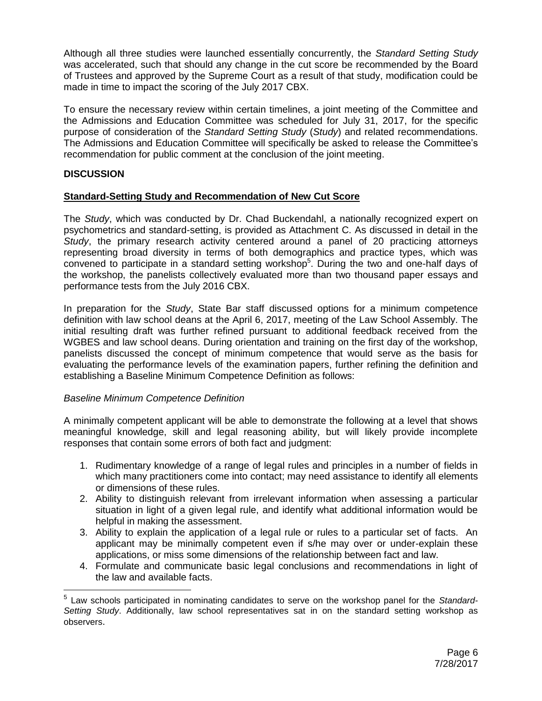Although all three studies were launched essentially concurrently, the *Standard Setting Study* was accelerated, such that should any change in the cut score be recommended by the Board of Trustees and approved by the Supreme Court as a result of that study, modification could be made in time to impact the scoring of the July 2017 CBX.

To ensure the necessary review within certain timelines, a joint meeting of the Committee and the Admissions and Education Committee was scheduled for July 31, 2017, for the specific purpose of consideration of the *Standard Setting Study* (*Study*) and related recommendations. The Admissions and Education Committee will specifically be asked to release the Committee's recommendation for public comment at the conclusion of the joint meeting.

## **DISCUSSION**

## **Standard-Setting Study and Recommendation of New Cut Score**

The *Study*, which was conducted by Dr. Chad Buckendahl, a nationally recognized expert on psychometrics and standard-setting, is provided as Attachment C. As discussed in detail in the *Study*, the primary research activity centered around a panel of 20 practicing attorneys representing broad diversity in terms of both demographics and practice types, which was convened to participate in a standard setting workshop<sup>5</sup>. During the two and one-half days of the workshop, the panelists collectively evaluated more than two thousand paper essays and performance tests from the July 2016 CBX.

In preparation for the *Study*, State Bar staff discussed options for a minimum competence definition with law school deans at the April 6, 2017, meeting of the Law School Assembly. The initial resulting draft was further refined pursuant to additional feedback received from the WGBES and law school deans. During orientation and training on the first day of the workshop, panelists discussed the concept of minimum competence that would serve as the basis for evaluating the performance levels of the examination papers, further refining the definition and establishing a Baseline Minimum Competence Definition as follows:

#### *Baseline Minimum Competence Definition*

A minimally competent applicant will be able to demonstrate the following at a level that shows meaningful knowledge, skill and legal reasoning ability, but will likely provide incomplete responses that contain some errors of both fact and judgment:

- 1. Rudimentary knowledge of a range of legal rules and principles in a number of fields in which many practitioners come into contact; may need assistance to identify all elements or dimensions of these rules.
- 2. Ability to distinguish relevant from irrelevant information when assessing a particular situation in light of a given legal rule, and identify what additional information would be helpful in making the assessment.
- 3. Ability to explain the application of a legal rule or rules to a particular set of facts. An applicant may be minimally competent even if s/he may over or under-explain these applications, or miss some dimensions of the relationship between fact and law.
- 4. Formulate and communicate basic legal conclusions and recommendations in light of the law and available facts.

<sup>5</sup> Law schools participated in nominating candidates to serve on the workshop panel for the *Standard-Setting Study*. Additionally, law school representatives sat in on the standard setting workshop as observers.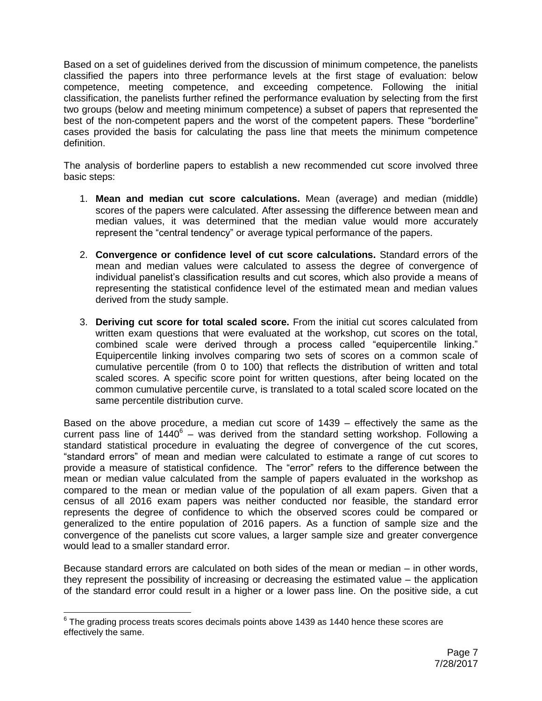Based on a set of guidelines derived from the discussion of minimum competence, the panelists classified the papers into three performance levels at the first stage of evaluation: below competence, meeting competence, and exceeding competence. Following the initial classification, the panelists further refined the performance evaluation by selecting from the first two groups (below and meeting minimum competence) a subset of papers that represented the best of the non-competent papers and the worst of the competent papers. These "borderline" cases provided the basis for calculating the pass line that meets the minimum competence definition.

The analysis of borderline papers to establish a new recommended cut score involved three basic steps:

- 1. **Mean and median cut score calculations.** Mean (average) and median (middle) scores of the papers were calculated. After assessing the difference between mean and median values, it was determined that the median value would more accurately represent the "central tendency" or average typical performance of the papers.
- 2. **Convergence or confidence level of cut score calculations.** Standard errors of the mean and median values were calculated to assess the degree of convergence of individual panelist's classification results and cut scores, which also provide a means of representing the statistical confidence level of the estimated mean and median values derived from the study sample.
- 3. **Deriving cut score for total scaled score.** From the initial cut scores calculated from written exam questions that were evaluated at the workshop, cut scores on the total, combined scale were derived through a process called "equipercentile linking." Equipercentile linking involves comparing two sets of scores on a common scale of cumulative percentile (from 0 to 100) that reflects the distribution of written and total scaled scores. A specific score point for written questions, after being located on the common cumulative percentile curve, is translated to a total scaled score located on the same percentile distribution curve.

Based on the above procedure, a median cut score of 1439 – effectively the same as the current pass line of  $1440^6$  – was derived from the standard setting workshop. Following a standard statistical procedure in evaluating the degree of convergence of the cut scores, "standard errors" of mean and median were calculated to estimate a range of cut scores to provide a measure of statistical confidence. The "error" refers to the difference between the mean or median value calculated from the sample of papers evaluated in the workshop as compared to the mean or median value of the population of all exam papers. Given that a census of all 2016 exam papers was neither conducted nor feasible, the standard error represents the degree of confidence to which the observed scores could be compared or generalized to the entire population of 2016 papers. As a function of sample size and the convergence of the panelists cut score values, a larger sample size and greater convergence would lead to a smaller standard error.

Because standard errors are calculated on both sides of the mean or median – in other words, they represent the possibility of increasing or decreasing the estimated value – the application of the standard error could result in a higher or a lower pass line. On the positive side, a cut

 $^6$  The grading process treats scores decimals points above 1439 as 1440 hence these scores are effectively the same.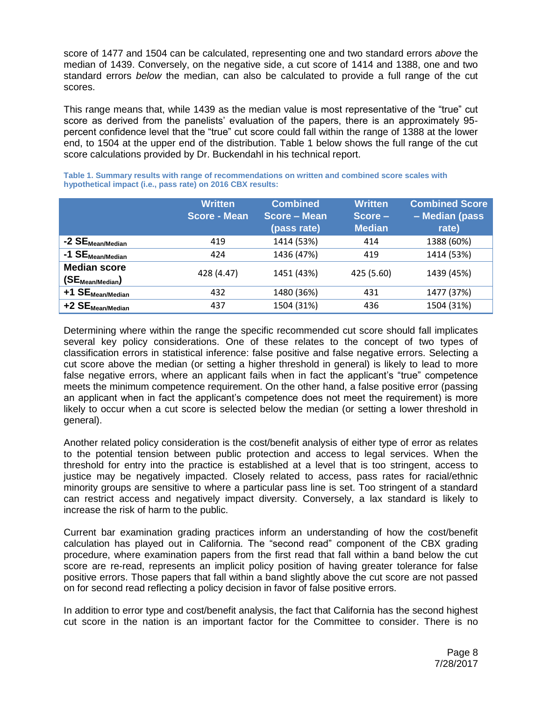score of 1477 and 1504 can be calculated, representing one and two standard errors *above* the median of 1439. Conversely, on the negative side, a cut score of 1414 and 1388, one and two standard errors *below* the median, can also be calculated to provide a full range of the cut scores.

This range means that, while 1439 as the median value is most representative of the "true" cut score as derived from the panelists' evaluation of the papers, there is an approximately 95 percent confidence level that the "true" cut score could fall within the range of 1388 at the lower end, to 1504 at the upper end of the distribution. Table 1 below shows the full range of the cut score calculations provided by Dr. Buckendahl in his technical report.

|                                             | <b>Written</b><br><b>Score - Mean</b> | <b>Combined</b><br>Score – Mean<br>(pass rate) | <b>Written</b><br>Score-<br><b>Median</b> | <b>Combined Score</b><br>- Median (pass<br>rate) |
|---------------------------------------------|---------------------------------------|------------------------------------------------|-------------------------------------------|--------------------------------------------------|
| -2 SE <sub>Mean/Median</sub>                | 419                                   | 1414 (53%)                                     | 414                                       | 1388 (60%)                                       |
| $-1$ $SE_{Mean/Median}$                     | 424                                   | 1436 (47%)                                     | 419                                       | 1414 (53%)                                       |
| <b>Median score</b><br>$(SE_{Mean/Median})$ | 428 (4.47)                            | 1451 (43%)                                     | 425 (5.60)                                | 1439 (45%)                                       |
| $+1$ SE $_{Mean/Median}$                    | 432                                   | 1480 (36%)                                     | 431                                       | 1477 (37%)                                       |
| $+2$ $SE_{Mean/Median}$                     | 437                                   | 1504 (31%)                                     | 436                                       | 1504 (31%)                                       |

**Table 1. Summary results with range of recommendations on written and combined score scales with hypothetical impact (i.e., pass rate) on 2016 CBX results:**

Determining where within the range the specific recommended cut score should fall implicates several key policy considerations. One of these relates to the concept of two types of classification errors in statistical inference: false positive and false negative errors. Selecting a cut score above the median (or setting a higher threshold in general) is likely to lead to more false negative errors, where an applicant fails when in fact the applicant's "true" competence meets the minimum competence requirement. On the other hand, a false positive error (passing an applicant when in fact the applicant's competence does not meet the requirement) is more likely to occur when a cut score is selected below the median (or setting a lower threshold in general).

Another related policy consideration is the cost/benefit analysis of either type of error as relates to the potential tension between public protection and access to legal services. When the threshold for entry into the practice is established at a level that is too stringent, access to justice may be negatively impacted. Closely related to access, pass rates for racial/ethnic minority groups are sensitive to where a particular pass line is set. Too stringent of a standard can restrict access and negatively impact diversity. Conversely, a lax standard is likely to increase the risk of harm to the public.

Current bar examination grading practices inform an understanding of how the cost/benefit calculation has played out in California. The "second read" component of the CBX grading procedure, where examination papers from the first read that fall within a band below the cut score are re-read, represents an implicit policy position of having greater tolerance for false positive errors. Those papers that fall within a band slightly above the cut score are not passed on for second read reflecting a policy decision in favor of false positive errors.

In addition to error type and cost/benefit analysis, the fact that California has the second highest cut score in the nation is an important factor for the Committee to consider. There is no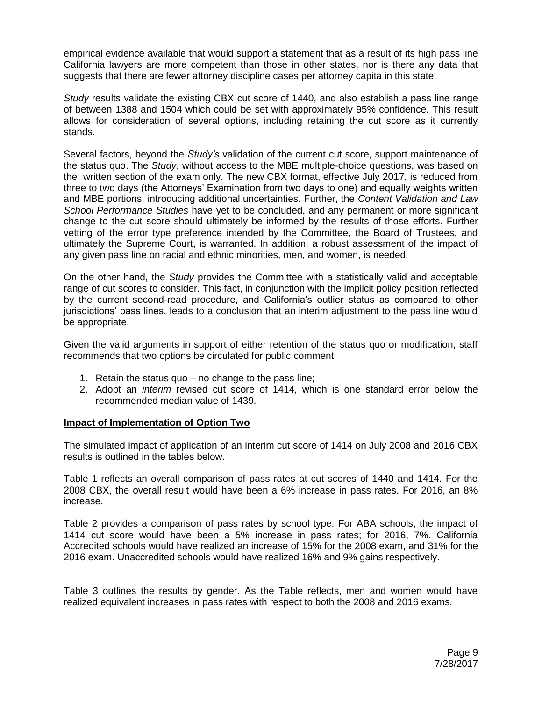empirical evidence available that would support a statement that as a result of its high pass line California lawyers are more competent than those in other states, nor is there any data that suggests that there are fewer attorney discipline cases per attorney capita in this state.

*Study* results validate the existing CBX cut score of 1440, and also establish a pass line range of between 1388 and 1504 which could be set with approximately 95% confidence. This result allows for consideration of several options, including retaining the cut score as it currently stands.

Several factors, beyond the *Study's* validation of the current cut score, support maintenance of the status quo. The *Study*, without access to the MBE multiple-choice questions, was based on the written section of the exam only. The new CBX format, effective July 2017, is reduced from three to two days (the Attorneys' Examination from two days to one) and equally weights written and MBE portions, introducing additional uncertainties. Further, the *Content Validation and Law School Performance Studies* have yet to be concluded, and any permanent or more significant change to the cut score should ultimately be informed by the results of those efforts. Further vetting of the error type preference intended by the Committee, the Board of Trustees, and ultimately the Supreme Court, is warranted. In addition, a robust assessment of the impact of any given pass line on racial and ethnic minorities, men, and women, is needed.

On the other hand, the *Study* provides the Committee with a statistically valid and acceptable range of cut scores to consider. This fact, in conjunction with the implicit policy position reflected by the current second-read procedure, and California's outlier status as compared to other jurisdictions' pass lines, leads to a conclusion that an interim adjustment to the pass line would be appropriate.

Given the valid arguments in support of either retention of the status quo or modification, staff recommends that two options be circulated for public comment:

- 1. Retain the status quo no change to the pass line;
- 2. Adopt an *interim* revised cut score of 1414, which is one standard error below the recommended median value of 1439.

## **Impact of Implementation of Option Two**

The simulated impact of application of an interim cut score of 1414 on July 2008 and 2016 CBX results is outlined in the tables below.

Table 1 reflects an overall comparison of pass rates at cut scores of 1440 and 1414. For the 2008 CBX, the overall result would have been a 6% increase in pass rates. For 2016, an 8% increase.

Table 2 provides a comparison of pass rates by school type. For ABA schools, the impact of 1414 cut score would have been a 5% increase in pass rates; for 2016, 7%. California Accredited schools would have realized an increase of 15% for the 2008 exam, and 31% for the 2016 exam. Unaccredited schools would have realized 16% and 9% gains respectively.

Table 3 outlines the results by gender. As the Table reflects, men and women would have realized equivalent increases in pass rates with respect to both the 2008 and 2016 exams.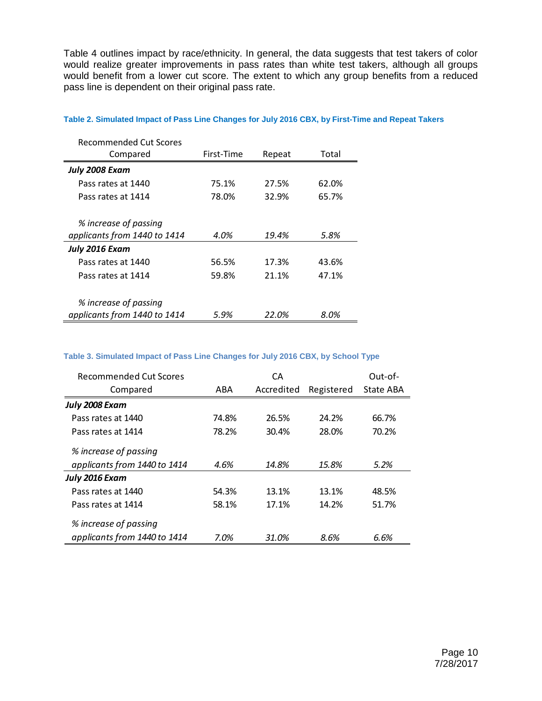Table 4 outlines impact by race/ethnicity. In general, the data suggests that test takers of color would realize greater improvements in pass rates than white test takers, although all groups would benefit from a lower cut score. The extent to which any group benefits from a reduced pass line is dependent on their original pass rate.

| Recommended Cut Scores       |            |        |       |
|------------------------------|------------|--------|-------|
| Compared                     | First-Time | Repeat | Total |
| July 2008 Exam               |            |        |       |
| Pass rates at 1440           | 75.1%      | 27.5%  | 62.0% |
| Pass rates at 1414           | 78.0%      | 32.9%  | 65.7% |
|                              |            |        |       |
| % increase of passing        |            |        |       |
| applicants from 1440 to 1414 | 4.0%       | 19.4%  | 5.8%  |
| July 2016 Exam               |            |        |       |
| Pass rates at 1440           | 56.5%      | 17.3%  | 43.6% |
| Pass rates at 1414           | 59.8%      | 21.1%  | 47.1% |
|                              |            |        |       |
| % increase of passing        |            |        |       |
| applicants from 1440 to 1414 | 5.9%       | 22.0%  | 8.0%  |

#### **Table 2. Simulated Impact of Pass Line Changes for July 2016 CBX, by First-Time and Repeat Takers**

#### **Table 3. Simulated Impact of Pass Line Changes for July 2016 CBX, by School Type**

| Recommended Cut Scores       | CА    |            |            | Out-of-   |
|------------------------------|-------|------------|------------|-----------|
| Compared                     | ABA   | Accredited | Registered | State ABA |
| July 2008 Exam               |       |            |            |           |
| Pass rates at 1440           | 74.8% | 26.5%      | 24.2%      | 66.7%     |
| Pass rates at 1414           | 78.2% | 30.4%      | 28.0%      | 70.2%     |
| % increase of passing        |       |            |            |           |
| applicants from 1440 to 1414 | 4.6%  | 14.8%      | 15.8%      | 5.2%      |
| July 2016 Exam               |       |            |            |           |
| Pass rates at 1440           | 54.3% | 13.1%      | 13.1%      | 48.5%     |
| Pass rates at 1414           | 58.1% | 17.1%      | 14.2%      | 51.7%     |
| % increase of passing        |       |            |            |           |
| applicants from 1440 to 1414 | 7.0%  | 31.0%      | 8.6%       | 6.6%      |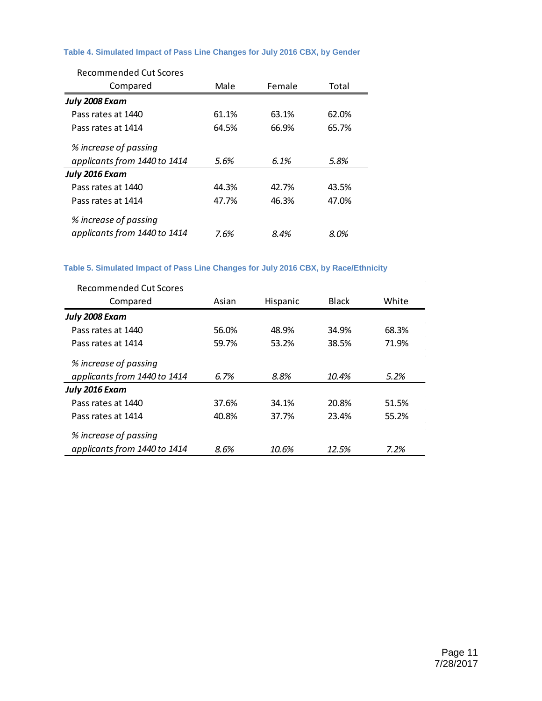#### **Table 4. Simulated Impact of Pass Line Changes for July 2016 CBX, by Gender**

| <b>Recommended Cut Scores</b> |       |        |       |  |
|-------------------------------|-------|--------|-------|--|
| Compared                      | Male  | Female | Total |  |
| July 2008 Exam                |       |        |       |  |
| Pass rates at 1440            | 61.1% | 63.1%  | 62.0% |  |
| Pass rates at 1414            | 64.5% | 66.9%  | 65.7% |  |
| % increase of passing         |       |        |       |  |
| applicants from 1440 to 1414  | 5.6%  | 6.1%   | 5.8%  |  |
| July 2016 Exam                |       |        |       |  |
| Pass rates at 1440            | 44.3% | 42.7%  | 43.5% |  |
| Pass rates at 1414            | 47.7% | 46.3%  | 47.0% |  |
| % increase of passing         |       |        |       |  |
| applicants from 1440 to 1414  | 7.6%  | 8.4%   | 8.0%  |  |

## **Table 5. Simulated Impact of Pass Line Changes for July 2016 CBX, by Race/Ethnicity**

| Recommended Cut Scores       |       |          |       |       |
|------------------------------|-------|----------|-------|-------|
| Compared                     | Asian | Hispanic | Black | White |
| July 2008 Exam               |       |          |       |       |
| Pass rates at 1440           | 56.0% | 48.9%    | 34.9% | 68.3% |
| Pass rates at 1414           | 59.7% | 53.2%    | 38.5% | 71.9% |
| % increase of passing        |       |          |       |       |
| applicants from 1440 to 1414 | 6.7%  | 8.8%     | 10.4% | 5.2%  |
| July 2016 Exam               |       |          |       |       |
| Pass rates at 1440           | 37.6% | 34.1%    | 20.8% | 51.5% |
| Pass rates at 1414           | 40.8% | 37.7%    | 23.4% | 55.2% |
| % increase of passing        |       |          |       |       |
| applicants from 1440 to 1414 | 8.6%  | 10.6%    | 12.5% | 7.2%  |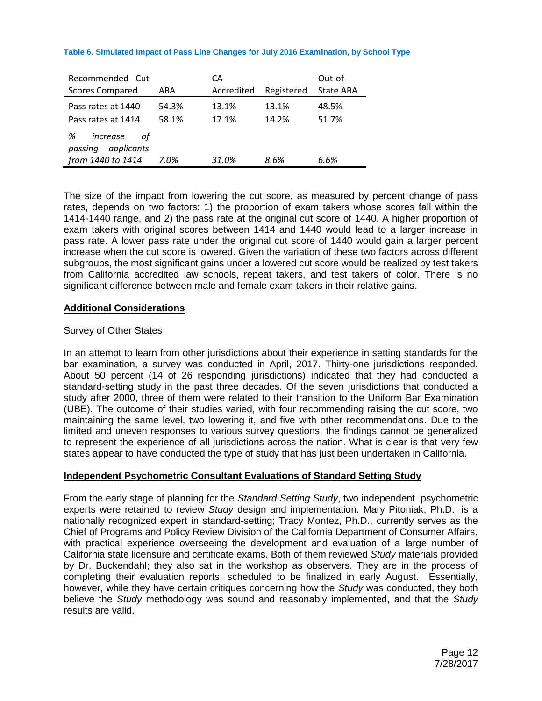#### **Table 6. Simulated Impact of Pass Line Changes for July 2016 Examination, by School Type**

| Recommended Cut<br><b>Scores Compared</b>                         | ABA            | CА<br>Accredited | Registered     | Out-of-<br>State ABA |
|-------------------------------------------------------------------|----------------|------------------|----------------|----------------------|
| Pass rates at 1440<br>Pass rates at 1414                          | 54.3%<br>58.1% | 13.1%<br>17.1%   | 13.1%<br>14.2% | 48.5%<br>51.7%       |
| %<br>increase<br>οt<br>applicants<br>passing<br>from 1440 to 1414 | 7.0%           | 31.0%            | 8.6%           | 6.6%                 |

The size of the impact from lowering the cut score, as measured by percent change of pass rates, depends on two factors: 1) the proportion of exam takers whose scores fall within the 1414-1440 range, and 2) the pass rate at the original cut score of 1440. A higher proportion of exam takers with original scores between 1414 and 1440 would lead to a larger increase in pass rate. A lower pass rate under the original cut score of 1440 would gain a larger percent increase when the cut score is lowered. Given the variation of these two factors across different subgroups, the most significant gains under a lowered cut score would be realized by test takers from California accredited law schools, repeat takers, and test takers of color. There is no significant difference between male and female exam takers in their relative gains.

#### **Additional Considerations**

## Survey of Other States

In an attempt to learn from other jurisdictions about their experience in setting standards for the bar examination, a survey was conducted in April, 2017. Thirty-one jurisdictions responded. About 50 percent (14 of 26 responding jurisdictions) indicated that they had conducted a standard-setting study in the past three decades. Of the seven jurisdictions that conducted a study after 2000, three of them were related to their transition to the Uniform Bar Examination (UBE). The outcome of their studies varied, with four recommending raising the cut score, two maintaining the same level, two lowering it, and five with other recommendations. Due to the limited and uneven responses to various survey questions, the findings cannot be generalized to represent the experience of all jurisdictions across the nation. What is clear is that very few states appear to have conducted the type of study that has just been undertaken in California.

#### **Independent Psychometric Consultant Evaluations of Standard Setting Study**

From the early stage of planning for the *Standard Setting Study*, two independent psychometric experts were retained to review *Study* design and implementation. Mary Pitoniak, Ph.D., is a nationally recognized expert in standard-setting; Tracy Montez, Ph.D., currently serves as the Chief of Programs and Policy Review Division of the California Department of Consumer Affairs, with practical experience overseeing the development and evaluation of a large number of California state licensure and certificate exams. Both of them reviewed *Study* materials provided by Dr. Buckendahl; they also sat in the workshop as observers. They are in the process of completing their evaluation reports, scheduled to be finalized in early August. Essentially, however, while they have certain critiques concerning how the *Study* was conducted, they both believe the *Study* methodology was sound and reasonably implemented, and that the *Study* results are valid.